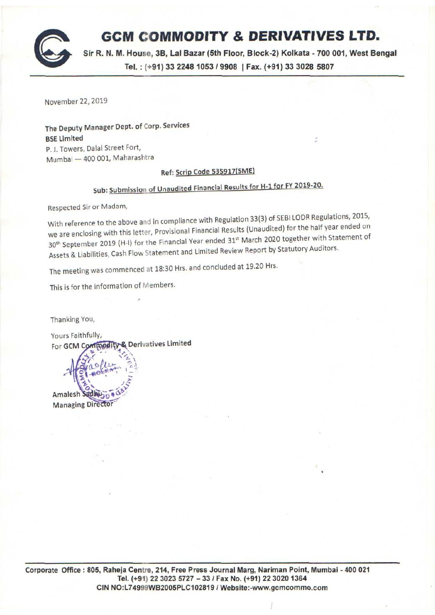# **GCM COMMODITY & DERIVATIVES LTD.**

Sir R. N. M. House, 38, Lal Bazar (5th Floor, Block-2) Kolkata - 700 001, West Bengal Tel. : ( +91) 33 2248 1053 *I* 9908 I Fax. ( +91) 33 3028 5807

November 22, 2019

The Deputy Manager Dept. of Corp. Services BSE limited P. J. Towers, Dalal Street Fort, Mumbai - 400 001, Maharashtra

## Ref: Scrip Code 535917(SME)

# Sub: Submission of Unaudited Financial Results for H-1 for FY 2019-20.

Respected Sir or Madam,

With reference to the above and in compliance with Regulation 33(3) of SEBI LODR Regulations, 2015, we are enclosing with this letter, Provisional Financial Results (Unaudited) for the half year ended on 30<sup>th</sup> September 2019 (H-I) for the Financial Year ended 31<sup>st</sup> March 2020 together with Statement of Assets & Liabilities, Cash Flow statement and Limited Review Report by Statutory Auditors.

The meeting was commenced at 18:30 Hrs. and concluded at 19.20 Hrs.

This is for the information of Members.

Thanking You,

Yours Faithfully, & Derivatives Limited For GCM Co

Amalesh **Managing Director**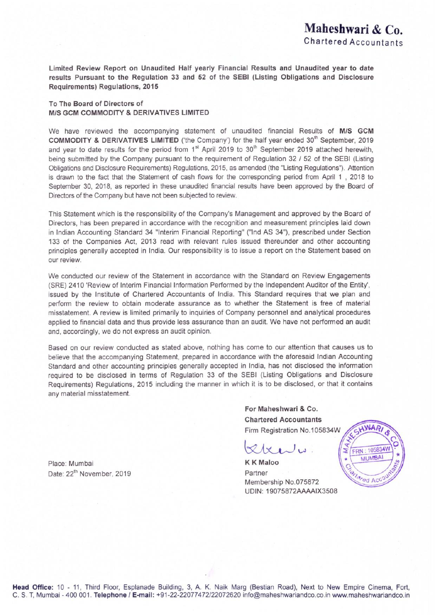Limited Review Report on Unaudited Half yearly Financial Results and Unaudited year to date results Pursuant to the Regulation 33 and 52 of the SEBI (Listing Obligations and Disclosure Requirements) Regulations, 2015

### To The Board of Directors of M/S GCM COMMODITY & DERIVATIVES LIMITED

We have reviewed the accompanying statement of unaudited financial Results of M/S GCM COMMODITY & DERIVATIVES LIMITED ('the Company') for the half year ended 30<sup>th</sup> September, 2019 and year to date results for the period from  $1<sup>st</sup>$  April 2019 to 30<sup>th</sup> September 2019 attached herewith, being submitted by the Company pursuant to the requirement of Regulation 32 *I* 52 of the SEBI (Listing Obligations and Disclosure Requirements) Regulations, 2015, as amended (the "Listing Regulations'). Attention is drawn to the fact that the Statement of cash flows for the corresponding period from April 1, 2018 to September 30, 2018, as reported in these unaudited financial results have been approved by the Board of Directors of the Company but have not been subjected to review

This Statement which is the responsibility of the Company's Management and approved by the Board of Directors, has been prepared in accordance with the recognition and measurement principles laid down in Indian Accounting Standard 34 "Interim Financial Reporting" ("Ind AS 34"), prescribed under Section 133 of the Companies Act, 2013 read with relevant rules issued thereunder and other accounting principles generally accepted in India. Our responsibility is to issue a report on the Statement based on our review.

We conducted our review of the Statement in accordance with the Standard on Review Engagements (SRE) 2410 'Review of Interim Financial Information Performed by the Independent Auditor of the Entity', issued by the Institute of Chartered Accountants of India. This Standard requires that we plan and perform the review to obtain moderate assurance as to whether the Statement is free of material misstatement. A review is limited primarily to inquiries of Company personnel and analytical procedures applied to financial data and thus provide less assurance than an audit. We have not performed an audit and, accordingly, we do not express an audit opinion

Based on our review conducted as stated above, nothing has come to our attention that causes us to believe that the accompanying Statement, prepared in accordance with the aforesaid Indian Accounting Standard and other accounting principles generally accepted in India, has not disclosed the information required to be disclosed in terms of Regulation 33 of the SEBI (Listing Obligations and Disclosure Requirements) Regulations, 2015 including the manner in which it is to be disclosed, or that it contains any material misstatement

> For Maheshwari & Co. **Chartered Accountants** Firm Registration No.105834W

K K Maloo Partner Membership No.075872 UDIN· 19075872AAAAIX3508



Place: Mumbai Date: 22<sup>th</sup> November, 2019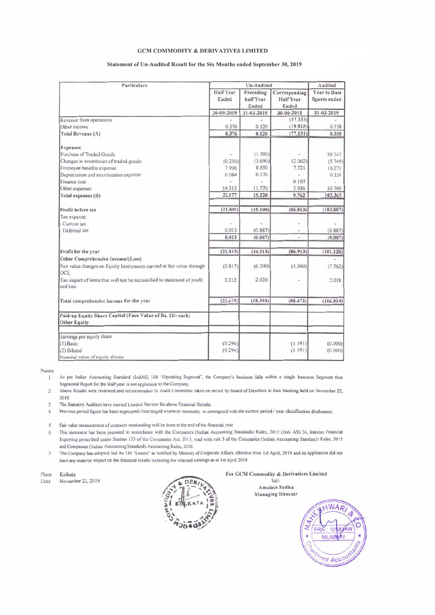#### **GCM COMMODITY & DERIVATIVES LIMITED**

#### Statement of Un-Audited Result for the Six Months ended September 30, 2019

| Particulars                                                                          |                  | Un-Audited |               |                     |
|--------------------------------------------------------------------------------------|------------------|------------|---------------|---------------------|
|                                                                                      | <b>Half</b> Year | Preceding  | Corresponding | <b>Year to Date</b> |
|                                                                                      | Ended            | half Year  | Half Year     | figures ended       |
|                                                                                      |                  | Ended      | Ended         |                     |
|                                                                                      | 30-09-2019       | 31-03-2019 | 30-09-2018    | 31-03-2019          |
| Revenue from operations                                                              |                  |            | (57.333)      |                     |
| Other income                                                                         | 0.376            | 0.120      | (19.818)      | 0.358               |
| Total Revenue (A)                                                                    | 0.376            | 0.120      | (77.151)      | 0.358               |
| <b>Expenses:</b>                                                                     |                  |            |               |                     |
| Purchase of Traded Goods                                                             |                  | (1.580)    |               | 55.747              |
| Changes in inventories of traded goods                                               | (0.216)          | (3.690)    | (2.062)       | (5.749)             |
| Employee benefits expense                                                            | 7.996            | 8.550      | 7.721         | 16.271              |
| Depreciation and amortisation expense                                                | 0.084            | 0.170      |               | 0.335               |
| Finance cost                                                                         |                  |            | 0.167         |                     |
| Other expenses                                                                       | 14.313           | 11.770     | 3.936         | 35.760              |
| Total expenses (B)                                                                   | 22.177           | 15.220     | 9.762         | 102.365             |
| Profit before tax                                                                    | (21.801)         | (15.100)   | (86.913)      | (102.007)           |
| Tax expense:                                                                         |                  |            |               |                     |
| - Current tax                                                                        |                  |            |               |                     |
| - Deferred tax                                                                       | 0.013            | (0.887)    |               | (0.887)             |
|                                                                                      | 0.013            | (0.887)    | u             | (0.887)             |
| Profit for the year                                                                  | (21.815)         | (14.213)   | (86.913)      | (101.120)           |
| Other Comprehensive Income/(Loss)                                                    |                  |            |               |                     |
| Fair value changes on Equity Instruments carried at fair value through<br>OCI:       | (0.817)          | (6.200)    | (1.560)       | (7.762)             |
| Tax impact of items that will not be reclassified to statement of profit<br>and loss | 0.212            | 2.020      |               | 2.018               |
| Total comprehensive income for the year                                              | (22.419)         | (18.393)   | (88.473)      | (106.864)           |
| Paid-up Equity Share Capital (Face Value of Rs. 10/- each)<br><b>Other Equity</b>    |                  |            |               |                     |
| Earnings per equity share                                                            |                  |            |               |                     |
| $(1)$ Basic                                                                          | (0.294)          |            | (1.191)       | (0.000)             |
| (2) Diluted                                                                          | (0.294)          |            | (1.191)       | (0.000)             |
| Nominal value of equity shares                                                       |                  |            |               |                     |

Notes:

As per Indian Accounting Standard (IndAS) 108 "Operating Segment", the Company's business falls within a single business Segment thus 1 Segmental Report for the Half year is not applicable to the Company.

Above Results were reviewed and recommended by Audit Committee taken on record by Board of Directors in their Meeting held on November 22,  $\overline{2}$ 2019.

The Statutory Auditors have carried Limited Review for above Financial Results.  $\ddot{\mathcal{L}}$ 

4 Previous period figure has been regrouped /rearranged wherever necessary. to correspond with the current period / year classification disclosures.

Fair value measurement of contracts outstanding will be done at the end of the financial year.  $\leq$ 

This statement has been prepared in accordance with the Companies (Indian Accounting Standards) Rules, 2015 (Ind-AS) 34, Interim Financial 6 Reporting prescribed under Section 133 of the Companies Act, 2013, read with rule 3 of the Companies (Indian Accounting Standard) Rules, 2015 and Companies (Indian Accounting Standard) Accounting Rules, 2016.

The Company has adopted Ind As 116 "Leases" as notified by Ministry of Corporate Affairs effective from 1st April, 2019 and its application did not  $\overline{7}$ have any material impact on the financial results including the retained earnings as at 1st April 2019.

Place Kolkata

November 22, 2019 Date



For GCM Commodity & Derivatives Limited  $Sd$ 

Amalesh Sadhu Managing Direcotr

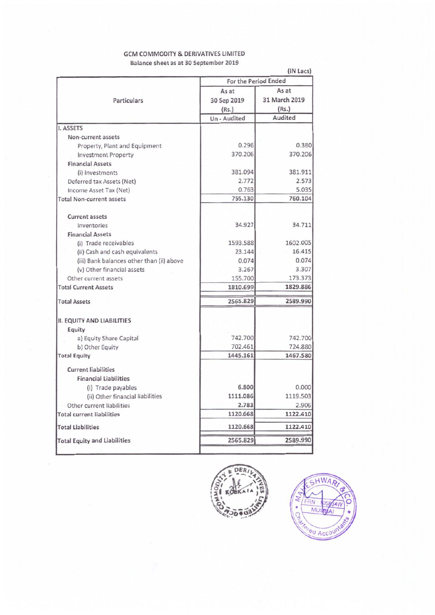### GCM COMMODITY & DERIVATIVES LIMITED Balance sheet as at 30 September 2019

|                                           |                      | (IN Lacs)     |  |
|-------------------------------------------|----------------------|---------------|--|
|                                           | For the Period Ended |               |  |
|                                           | As at                | As at         |  |
| Particulars                               | 30 Sep 2019          | 31 March 2019 |  |
|                                           | (Rs.)                | (Rs.)         |  |
|                                           | Un - Audited         | Audited       |  |
| <b>I. ASSETS</b>                          |                      |               |  |
| Non-current assets                        |                      |               |  |
| Property, Plant and Equipment             | 0.296                | 0.380         |  |
| <b>Investment Property</b>                | 370.206              | 370.206       |  |
| <b>Financial Assets</b>                   |                      |               |  |
| (i) Investments                           | 381.094              | 381.911       |  |
| Deferred tax Assets (Net)                 | 2.772                | 2.573         |  |
| Income Asset Tax (Net)                    | 0.763                | 5.035         |  |
| <b>Total Non-current assets</b>           | 755.130              | 760.104       |  |
| <b>Current assets</b>                     |                      |               |  |
| Inventories                               | 34.927               | 34.711        |  |
| <b>Financial Assets</b>                   |                      |               |  |
| (i) Trade receivables                     | 1593.588             | 1602.005      |  |
| (ii) Cash and cash equivalents            | 23.144               | 16.415        |  |
| (iii) Bank balances other than (ii) above | 0.074                | 0.074         |  |
| (v) Other financial assets                | 3.267                | 3.307         |  |
| Other current assets                      | 155,700              | 173.373       |  |
| <b>Total Current Assets</b>               | 1810.699             | 1829.886      |  |
| <b>Total Assets</b>                       | 2565.829             | 2589.990      |  |
| <b>II. EQUITY AND LIABILITIES</b>         |                      |               |  |
| Equity                                    |                      |               |  |
| a) Equity Share Capital                   | 742.700              | 742.700       |  |
| b) Other Equity                           | 702.461              | 724.880       |  |
| <b>Total Equity</b>                       | 1445.161             | 1467.580      |  |
| <b>Current liabilities</b>                |                      |               |  |
| <b>Financial Liabilities</b>              |                      |               |  |
| (i) Trade payables                        | 6.800                | 0.000         |  |
| (ii) Other financial liabilities          | 1111.086             | 1119.503      |  |
| Other current liabilities                 | 2.783                | 2.906         |  |
| <b>Total current liabilities</b>          | 1120.668             | 1122.410      |  |
| <b>Total Liabilities</b>                  | 1120.668             | 1122.410      |  |
| <b>Total Equity and Liabilities</b>       | 2565.829             | 2589.990      |  |
|                                           |                      |               |  |